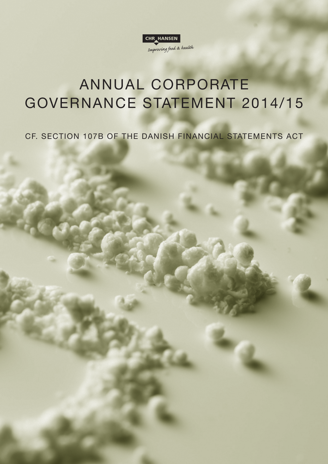

# ANNUAL CORPORATE GOVERNANCE STATEMENT 2014/15

CF. SECTION 107B OF THE DANISH FINANCIAL STATEMENTS ACT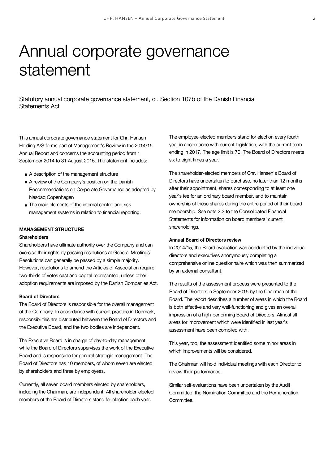# Annual corporate governance statement

Statutory annual corporate governance statement, cf. Section 107b of the Danish Financial Statements Act

This annual corporate governance statement for Chr. Hansen Holding A/S forms part of Management's Review in the 2014/15 Annual Report and concerns the accounting period from 1 September 2014 to 31 August 2015. The statement includes:

- A description of the management structure
- A review of the Company's position on the Danish Recommendations on Corporate Governance as adopted by Nasdaq Copenhagen
- The main elements of the internal control and risk management systems in relation to financial reporting.

## **MANAGEMENT STRUCTURE**

## **Shareholders**

Shareholders have ultimate authority over the Company and can exercise their rights by passing resolutions at General Meetings. Resolutions can generally be passed by a simple majority. However, resolutions to amend the Articles of Association require two-thirds of votes cast and capital represented, unless other adoption requirements are imposed by the Danish Companies Act.

#### **Board of Directors**

The Board of Directors is responsible for the overall management of the Company. In accordance with current practice in Denmark, responsibilities are distributed between the Board of Directors and the Executive Board, and the two bodies are independent.

The Executive Board is in charge of day-to-day management, while the Board of Directors supervises the work of the Executive Board and is responsible for general strategic management. The Board of Directors has 10 members, of whom seven are elected by shareholders and three by employees.

Currently, all seven board members elected by shareholders, including the Chairman, are independent. All shareholder-elected members of the Board of Directors stand for election each year.

The employee-elected members stand for election every fourth year in accordance with current legislation, with the current term ending in 2017. The age limit is 70. The Board of Directors meets six to eight times a year.

The shareholder-elected members of Chr. Hansen's Board of Directors have undertaken to purchase, no later than 12 months after their appointment, shares corresponding to at least one year's fee for an ordinary board member, and to maintain ownership of these shares during the entire period of their board membership. See note 2.3 to the Consolidated Financial Statements for information on board members' current shareholdings.

## **Annual Board of Directors review**

In 2014/15, the Board evaluation was conducted by the individual directors and executives anonymously completing a comprehensive online questionnaire which was then summarized by an external consultant.

The results of the assessment process were presented to the Board of Directors in September 2015 by the Chairman of the Board. The report describes a number of areas in which the Board is both effective and very well-functioning and gives an overall impression of a high-performing Board of Directors. Almost all areas for improvement which were identified in last year's assessment have been complied with.

This year, too, the assessment identified some minor areas in which improvements will be considered.

The Chairman will hold individual meetings with each Director to review their performance.

Similar self-evaluations have been undertaken by the Audit Committee, the Nomination Committee and the Remuneration Committee.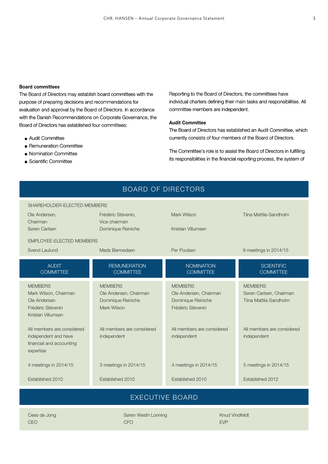## **Board committees**

The Board of Directors may establish board committees with the purpose of preparing decisions and recommendations for evaluation and approval by the Board of Directors. In accordance with the Danish Recommendations on Corporate Governance, the Board of Directors has established four committees:

- Audit Committee
- Remuneration Committee
- Nomination Committee
- Scientific Committee

Reporting to the Board of Directors, the committees have individual charters defining their main tasks and responsibilities. All committee members are independent.

#### **Audit Committee**

The Board of Directors has established an Audit Committee, which currently consists of four members of the Board of Directors.

The Committee's role is to assist the Board of Directors in fulfilling its responsibilities in the financial reporting process, the system of

| <b>BOARD OF DIRECTORS</b>                        |                                         |                                         |                                       |
|--------------------------------------------------|-----------------------------------------|-----------------------------------------|---------------------------------------|
| SHAREHOLDER-ELECTED MEMBERS                      |                                         |                                         |                                       |
| Ole Andersen,<br>Chairman                        | Frédéric Stévenin,<br>Vice chairman     | Mark Wilson                             | Tiina Mattila-Sandholm                |
| Søren Carlsen                                    | Dominique Reiniche                      | Kristian Villumsen                      |                                       |
| <b>EMPLOYEE-ELECTED MEMBERS</b>                  |                                         |                                         |                                       |
| Svend Laulund                                    | Mads Bennedsen                          | Per Poulsen                             | 9 meetings in 2014/15                 |
| <b>AUDIT</b><br><b>COMMITTEE</b>                 | <b>REMUNERATION</b><br><b>COMMITTEE</b> | <b>NOMINATION</b><br><b>COMMITTEE</b>   | <b>SCIENTIFIC</b><br><b>COMMITTEE</b> |
| <b>MEMBERS</b>                                   | <b>MEMBERS</b>                          | <b>MEMBERS</b>                          | <b>MEMBERS</b>                        |
| Mark Wilson, Chairman                            | Ole Andersen, Chairman                  | Ole Andersen, Chairman                  | Søren Carlsen, Chairman               |
| Ole Andersen<br>Frédéric Stévenin                | Dominique Reiniche<br>Mark Wilson       | Dominique Reiniche<br>Frédéric Stévenin | Tiina Mattila-Sandholm                |
| Kristian Villumsen                               |                                         |                                         |                                       |
| All members are considered                       | All members are considered              | All members are considered              | All members are considered            |
| independent and have<br>financial and accounting | independent                             | independent                             | independent                           |
| expertise                                        |                                         |                                         |                                       |
| 4 meetings in 2014/15                            | 3 meetings in 2014/15                   | 4 meetings in 2014/15                   | 5 meetings in 2014/15                 |
| Established 2010                                 | Established 2010                        | Established 2010                        | Established 2012                      |
| <b>EXECUTIVE BOARD</b>                           |                                         |                                         |                                       |

Cees de Jong CEO

Søren Westh Lonning CFO

Knud Vindfeldt EVP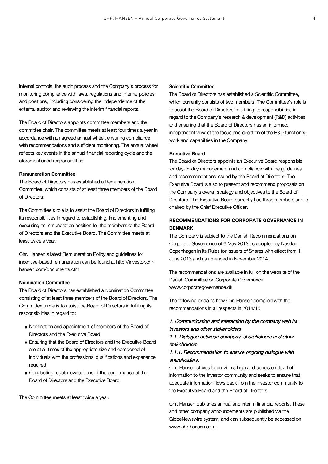internal controls, the audit process and the Company's process for monitoring compliance with laws, regulations and internal policies and positions, including considering the independence of the external auditor and reviewing the interim financial reports.

The Board of Directors appoints committee members and the committee chair. The committee meets at least four times a year in accordance with an agreed annual wheel, ensuring compliance with recommendations and sufficient monitoring. The annual wheel reflects key events in the annual financial reporting cycle and the aforementioned responsibilities.

## **Remuneration Committee**

The Board of Directors has established a Remuneration Committee, which consists of at least three members of the Board of Directors.

The Committee's role is to assist the Board of Directors in fulfilling its responsibilities in regard to establishing, implementing and executing its remuneration position for the members of the Board of Directors and the Executive Board. The Committee meets at least twice a year.

Chr. Hansen's latest Remuneration Policy and guidelines for incentive-based remuneration can be found at http://investor.chr hansen.com/documents.cfm.

## **Nomination Committee**

The Board of Directors has established a Nomination Committee consisting of at least three members of the Board of Directors. The Committee's role is to assist the Board of Directors in fulfilling its responsibilities in regard to:

- Nomination and appointment of members of the Board of Directors and the Executive Board
- Ensuring that the Board of Directors and the Executive Board are at all times of the appropriate size and composed of individuals with the professional qualifications and experience required
- Conducting regular evaluations of the performance of the Board of Directors and the Executive Board.

The Committee meets at least twice a year.

## **Scientific Committee**

The Board of Directors has established a Scientific Committee, which currently consists of two members. The Committee's role is to assist the Board of Directors in fulfilling its responsibilities in regard to the Company's research & development (R&D) activities and ensuring that the Board of Directors has an informed, independent view of the focus and direction of the R&D function's work and capabilities in the Company.

## **Executive Board**

The Board of Directors appoints an Executive Board responsible for day-to-day management and compliance with the guidelines and recommendations issued by the Board of Directors. The Executive Board is also to present and recommend proposals on the Company's overall strategy and objectives to the Board of Directors. The Executive Board currently has three members and is chaired by the Chief Executive Officer.

# **RECOMMENDATIONS FOR CORPORATE GOVERNANCE IN DENMARK**

The Company is subject to the Danish Recommendations on Corporate Governance of 6 May 2013 as adopted by Nasdaq Copenhagen in its Rules for Issuers of Shares with effect from 1 June 2013 and as amended in November 2014.

The recommendations are available in full on the website of the Danish Committee on Corporate Governance, www.corporategovernance.dk.

The following explains how Chr. Hansen complied with the recommendations in all respects in 2014/15.

# 1. Communication and interaction by the company with its investors and other stakeholders

## 1.1. Dialogue between company, shareholders and other stakeholders

## 1.1.1. Recommendation to ensure ongoing dialogue with shareholders.

Chr. Hansen strives to provide a high and consistent level of information to the investor community and seeks to ensure that adequate information flows back from the investor community to the Executive Board and the Board of Directors.

Chr. Hansen publishes annual and interim financial reports. These and other company announcements are published via the GlobeNewswire system, and can subsequently be accessed on www.chr-hansen.com.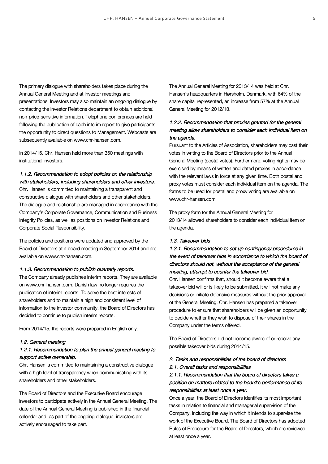The primary dialogue with shareholders takes place during the Annual General Meeting and at investor meetings and presentations. Investors may also maintain an ongoing dialogue by contacting the Investor Relations department to obtain additional non-price-sensitive information. Telephone conferences are held following the publication of each interim report to give participants the opportunity to direct questions to Management. Webcasts are subsequently available on www.chr-hansen.com.

In 2014/15, Chr. Hansen held more than 350 meetings with institutional investors.

# 1.1.2. Recommendation to adopt policies on the relationship

with stakeholders, including shareholders and other investors. Chr. Hansen is committed to maintaining a transparent and constructive dialogue with shareholders and other stakeholders. The dialogue and relationship are managed in accordance with the Company's Corporate Governance, Communication and Business Integrity Policies, as well as positions on Investor Relations and Corporate Social Responsibility.

The policies and positions were updated and approved by the Board of Directors at a board meeting in September 2014 and are available on www.chr-hansen.com.

#### 1.1.3. Recommendation to publish quarterly reports.

The Company already publishes interim reports. They are available on www.chr-hansen.com. Danish law no longer requires the publication of interim reports. To serve the best interests of shareholders and to maintain a high and consistent level of information to the investor community, the Board of Directors has decided to continue to publish interim reports.

From 2014/15, the reports were prepared in English only.

## 1.2. General meeting

## 1.2.1. Recommendation to plan the annual general meeting to support active ownership.

Chr. Hansen is committed to maintaining a constructive dialogue with a high level of transparency when communicating with its shareholders and other stakeholders.

The Board of Directors and the Executive Board encourage investors to participate actively in the Annual General Meeting. The date of the Annual General Meeting is published in the financial calendar and, as part of the ongoing dialogue, investors are actively encouraged to take part.

The Annual General Meeting for 2013/14 was held at Chr. Hansen's headquarters in Hørsholm, Denmark, with 64% of the share capital represented, an increase from 57% at the Annual General Meeting for 2012/13.

# 1.2.2. Recommendation that proxies granted for the general meeting allow shareholders to consider each individual item on the agenda.

Pursuant to the Articles of Association, shareholders may cast their votes in writing to the Board of Directors prior to the Annual General Meeting (postal votes). Furthermore, voting rights may be exercised by means of written and dated proxies in accordance with the relevant laws in force at any given time. Both postal and proxy votes must consider each individual item on the agenda. The forms to be used for postal and proxy voting are available on www.chr-hansen.com.

The proxy form for the Annual General Meeting for 2013/14 allowed shareholders to consider each individual item on the agenda.

## 1.3. Takeover bids

1.3.1. Recommendation to set up contingency procedures in the event of takeover bids in accordance to which the board of directors should not, without the acceptance of the general meeting, attempt to counter the takeover bid.

Chr. Hansen confirms that, should it become aware that a takeover bid will or is likely to be submitted, it will not make any decisions or initiate defensive measures without the prior approval of the General Meeting. Chr. Hansen has prepared a takeover procedure to ensure that shareholders will be given an opportunity to decide whether they wish to dispose of their shares in the Company under the terms offered.

The Board of Directors did not become aware of or receive any possible takeover bids during 2014/15.

# 2. Tasks and responsibilities of the board of directors 2.1. Overall tasks and responsibilities

# 2.1.1. Recommendation that the board of directors takes a position on matters related to the board's performance of its responsibilities at least once a year.

Once a year, the Board of Directors identifies its most important tasks in relation to financial and managerial supervision of the Company, including the way in which it intends to supervise the work of the Executive Board. The Board of Directors has adopted Rules of Procedure for the Board of Directors, which are reviewed at least once a year.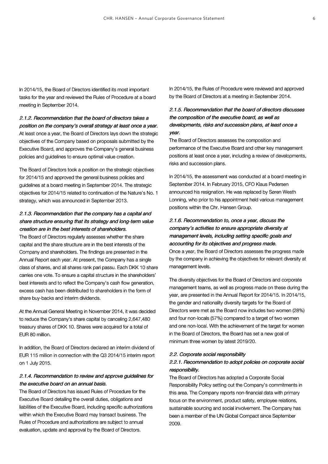In 2014/15, the Board of Directors identified its most important tasks for the year and reviewed the Rules of Procedure at a board meeting in September 2014.

# 2.1.2. Recommendation that the board of directors takes a position on the company's overall strategy at least once a year.

At least once a year, the Board of Directors lays down the strategic objectives of the Company based on proposals submitted by the Executive Board, and approves the Company's general business policies and guidelines to ensure optimal value creation.

The Board of Directors took a position on the strategic objectives for 2014/15 and approved the general business policies and guidelines at a board meeting in September 2014. The strategic objectives for 2014/15 related to continuation of the Nature's No. 1 strategy, which was announced in September 2013.

# 2.1.3. Recommendation that the company has a capital and share structure ensuring that its strategy and long-term value creation are in the best interests of shareholders.

The Board of Directors regularly assesses whether the share capital and the share structure are in the best interests of the Company and shareholders. The findings are presented in the Annual Report each year. At present, the Company has a single class of shares, and all shares rank pari passu. Each DKK 10 share carries one vote. To ensure a capital structure in the shareholders' best interests and to reflect the Company's cash flow generation, excess cash has been distributed to shareholders in the form of share buy-backs and interim dividends.

At the Annual General Meeting in November 2014, it was decided to reduce the Company's share capital by canceling 2,647,480 treasury shares of DKK 10. Shares were acquired for a total of EUR 80 million.

In addition, the Board of Directors declared an interim dividend of EUR 115 million in connection with the Q3 2014/15 interim report on 1 July 2015.

# 2.1.4. Recommendation to review and approve guidelines for the executive board on an annual basis.

The Board of Directors has issued Rules of Procedure for the Executive Board detailing the overall duties, obligations and liabilities of the Executive Board, including specific authorizations within which the Executive Board may transact business. The Rules of Procedure and authorizations are subject to annual evaluation, update and approval by the Board of Directors.

In 2014/15, the Rules of Procedure were reviewed and approved by the Board of Directors at a meeting in September 2014.

# 2.1.5. Recommendation that the board of directors discusses the composition of the executive board, as well as developments, risks and succession plans, at least once a year.

The Board of Directors assesses the composition and performance of the Executive Board and other key management positions at least once a year, including a review of developments, risks and succession plans.

In 2014/15, the assessment was conducted at a board meeting in September 2014. In February 2015, CFO Klaus Pedersen announced his resignation. He was replaced by Søren Westh Lonning, who prior to his appointment held various management positions within the Chr. Hansen Group.

# 2.1.6. Recommendation to, once a year, discuss the company's activities to ensure appropriate diversity at management levels, including setting specific goals and accounting for its objectives and progress made.

Once a year, the Board of Directors assesses the progress made by the company in achieving the objectives for relevant diversity at management levels.

The diversity objectives for the Board of Directors and corporate management teams, as well as progress made on these during the year, are presented in the Annual Report for 2014/15. In 2014/15, the gender and nationality diversity targets for the Board of Directors were met as the Board now includes two women (28%) and four non-locals (57%) compared to a target of two women and one non-local. With the achievement of the target for women in the Board of Directors, the Board has set a new goal of minimum three women by latest 2019/20.

## 2.2. Corporate social responsibility

## 2.2.1. Recommendation to adopt policies on corporate social responsibility.

The Board of Directors has adopted a Corporate Social Responsibility Policy setting out the Company's commitments in this area. The Company reports non-financial data with primary focus on the environment, product safety, employee relations, sustainable sourcing and social involvement. The Company has been a member of the UN Global Compact since September 2009.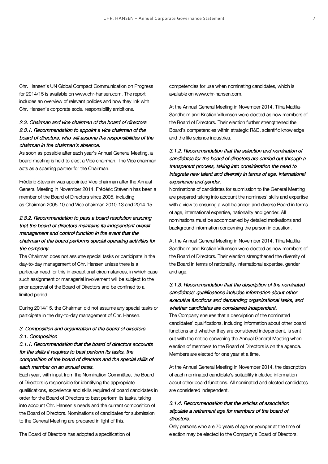Chr. Hansen's UN Global Compact Communication on Progress for 2014/15 is available on www.chr-hansen.com. The report includes an overview of relevant policies and how they link with Chr. Hansen's corporate social responsibility ambitions.

# 2.3. Chairman and vice chairman of the board of directors 2.3.1. Recommendation to appoint a vice chairman of the board of directors, who will assume the responsibilities of the chairman in the chairman's absence.

As soon as possible after each year's Annual General Meeting, a board meeting is held to elect a Vice chairman. The Vice chairman acts as a sparring partner for the Chairman.

Frédéric Stévenin was appointed Vice chairman after the Annual General Meeting in November 2014. Frédéric Stévenin has been a member of the Board of Directors since 2005, including as Chairman 2005-10 and Vice chairman 2010-13 and 2014-15.

# 2.3.2. Recommendation to pass a board resolution ensuring that the board of directors maintains its independent overall management and control function in the event that the chairman of the board performs special operating activities for the company.

The Chairman does not assume special tasks or participate in the day-to-day management of Chr. Hansen unless there is a particular need for this in exceptional circumstances, in which case such assignment or managerial involvement will be subject to the prior approval of the Board of Directors and be confined to a limited period.

During 2014/15, the Chairman did not assume any special tasks or participate in the day-to-day management of Chr. Hansen.

## 3. Composition and organization of the board of directors 3.1. Composition

# 3.1.1. Recommendation that the board of directors accounts for the skills it requires to best perform its tasks, the composition of the board of directors and the special skills of each member on an annual basis.

Each year, with input from the Nomination Committee, the Board of Directors is responsible for identifying the appropriate qualifications, experience and skills required of board candidates in order for the Board of Directors to best perform its tasks, taking into account Chr. Hansen's needs and the current composition of the Board of Directors. Nominations of candidates for submission to the General Meeting are prepared in light of this.

competencies for use when nominating candidates, which is available on www.chr-hansen.com.

At the Annual General Meeting in November 2014, Tiina Mattila- Sandholm and Kristian Villumsen were elected as new members of the Board of Directors. Their election further strengthened the Board's competencies within strategic R&D, scientific knowledge and the life science industries.

# 3.1.2. Recommendation that the selection and nomination of candidates for the board of directors are carried out through a transparent process, taking into consideration the need to integrate new talent and diversity in terms of age, international experience and gender.

Nominations of candidates for submission to the General Meeting are prepared taking into account the nominees' skills and expertise with a view to ensuring a well-balanced and diverse Board in terms of age, international expertise, nationality and gender. All nominations must be accompanied by detailed motivations and background information concerning the person in question.

At the Annual General Meeting in November 2014, Tiina Mattila- Sandholm and Kristian Villumsen were elected as new members of the Board of Directors. Their election strengthened the diversity of the Board in terms of nationality, international expertise, gender and age.

# 3.1.3. Recommendation that the description of the nominated candidates' qualifications includes information about other executive functions and demanding organizational tasks, and whether candidates are considered independent.

The Company ensures that a description of the nominated candidates' qualifications, including information about other board functions and whether they are considered independent, is sent out with the notice convening the Annual General Meeting when election of members to the Board of Directors is on the agenda. Members are elected for one year at a time.

At the Annual General Meeting in November 2014, the description of each nominated candidate's suitability included information about other board functions. All nominated and elected candidates are considered independent.

# 3.1.4. Recommendation that the articles of association stipulate a retirement age for members of the board of directors.

Only persons who are 70 years of age or younger at the time of election may be elected to the Company's Board of Directors.

The Board of Directors has adopted a specification of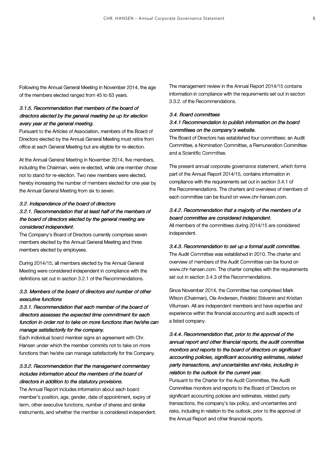Following the Annual General Meeting in November 2014, the age of the members elected ranged from 45 to 63 years.

# 3.1.5. Recommendation that members of the board of directors elected by the general meeting be up for election every year at the general meeting.

Pursuant to the Articles of Association, members of the Board of Directors elected by the Annual General Meeting must retire from office at each General Meeting but are eligible for re-election.

At the Annual General Meeting in November 2014, five members, including the Chairman, were re-elected, while one member chose not to stand for re-election. Two new members were elected, hereby increasing the number of members elected for one year by the Annual General Meeting from six to seven.

## 3.2. Independence of the board of directors

# 3.2.1. Recommendation that at least half of the members of the board of directors elected by the general meeting are considered independent.

The Company's Board of Directors currently comprises seven members elected by the Annual General Meeting and three members elected by employees.

During 2014/15, all members elected by the Annual General Meeting were considered independent in compliance with the definitions set out in section 3.2.1 of the Recommendations.

# 3.3. Members of the board of directors and number of other executive functions

# 3.3.1. Recommendation that each member of the board of directors assesses the expected time commitment for each function in order not to take on more functions than he/she can manage satisfactorily for the company.

Each individual board member signs an agreement with Chr. Hansen under which the member commits not to take on more functions than he/she can manage satisfactorily for the Company.

# 3.3.2. Recommendation that the management commentary includes information about the members of the board of directors in addition to the statutory provisions.

The Annual Report includes information about each board member's position, age, gender, date of appointment, expiry of term, other executive functions, number of shares and similar instruments, and whether the member is considered independent. The management review in the Annual Report 2014/15 contains information in compliance with the requirements set out in section 3.3.2. of the Recommendations.

## 3.4. Board committees

# 3.4.1 Recommendation to publish information on the board committees on the company's website.

The Board of Directors has established four committees: an Audit Committee, a Nomination Committee, a Remuneration Committee and a Scientific Committee.

The present annual corporate governance statement, which forms part of the Annual Report 2014/15, contains information in compliance with the requirements set out in section 3.4.1 of the Recommendations. The charters and overviews of members of each committee can be found on www.chr-hansen.com.

# 3.4.2. Recommendation that a majority of the members of a board committee are considered independent.

All members of the committees during 2014/15 are considered independent.

#### 3.4.3. Recommendation to set up a formal audit committee.

The Audit Committee was established in 2010. The charter and overview of members of the Audit Committee can be found on www.chr-hansen.com. The charter complies with the requirements set out in section 3.4.3 of the Recommendations.

Since November 2014, the Committee has comprised Mark Wilson (Chairman), Ole Andersen, Frédéric Stévenin and Kristian Villumsen. All are independent members and have expertise and experience within the financial accounting and audit aspects of a listed company.

# 3.4.4. Recommendation that, prior to the approval of the annual report and other financial reports, the audit committee monitors and reports to the board of directors on significant accounting policies, significant accounting estimates, related party transactions, and uncertainties and risks, including in relation to the outlook for the current year.

Pursuant to the Charter for the Audit Committee, the Audit Committee monitors and reports to the Board of Directors on significant accounting policies and estimates, related party transactions, the company's tax policy, and uncertainties and risks, including in relation to the outlook, prior to the approval of the Annual Report and other financial reports.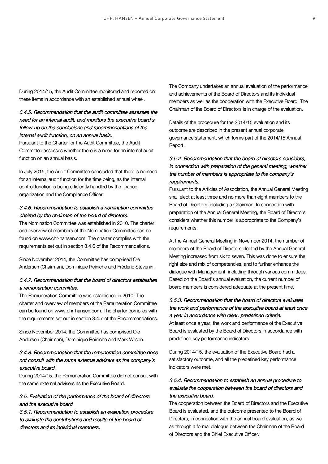During 2014/15, the Audit Committee monitored and reported on these items in accordance with an established annual wheel.

# 3.4.5. Recommendation that the audit committee assesses the need for an internal audit, and monitors the executive board's follow-up on the conclusions and recommendations of the internal audit function, on an annual basis.

Pursuant to the Charter for the Audit Committee, the Audit Committee assesses whether there is a need for an internal audit function on an annual basis.

In July 2015, the Audit Committee concluded that there is no need for an internal audit function for the time being, as the internal control function is being efficiently handled by the finance organization and the Compliance Officer.

# 3.4.6. Recommendation to establish a nomination committee chaired by the chairman of the board of directors.

The Nomination Committee was established in 2010. The charter and overview of members of the Nomination Committee can be found on www.chr-hansen.com. The charter complies with the requirements set out in section 3.4.6 of the Recommendations.

Since November 2014, the Committee has comprised Ole Andersen (Chairman), Dominique Reiniche and Frédéric Stévenin.

# 3.4.7. Recommendation that the board of directors establishes a remuneration committee.

The Remuneration Committee was established in 2010. The charter and overview of members of the Remuneration Committee can be found on www.chr-hansen.com. The charter complies with the requirements set out in section 3.4.7 of the Recommendations.

Since November 2014, the Committee has comprised Ole Andersen (Chairman), Dominique Reiniche and Mark Wilson.

# 3.4.8. Recommendation that the remuneration committee does not consult with the same external advisers as the company's executive board.

During 2014/15, the Remuneration Committee did not consult with the same external advisers as the Executive Board.

# 3.5. Evaluation of the performance of the board of directors and the executive board

3.5.1. Recommendation to establish an evaluation procedure to evaluate the contributions and results of the board of directors and its individual members.

The Company undertakes an annual evaluation of the performance and achievements of the Board of Directors and its individual members as well as the cooperation with the Executive Board. The Chairman of the Board of Directors is in charge of the evaluation.

Details of the procedure for the 2014/15 evaluation and its outcome are described in the present annual corporate governance statement, which forms part of the 2014/15 Annual Report.

# 3.5.2. Recommendation that the board of directors considers, in connection with preparation of the general meeting, whether the number of members is appropriate to the company's requirements.

Pursuant to the Articles of Association, the Annual General Meeting shall elect at least three and no more than eight members to the Board of Directors, including a Chairman. In connection with preparation of the Annual General Meeting, the Board of Directors considers whether this number is appropriate to the Company's requirements.

At the Annual General Meeting in November 2014, the number of members of the Board of Directors elected by the Annual General Meeting increased from six to seven. This was done to ensure the right size and mix of competencies, and to further enhance the dialogue with Management, including through various committees. Based on the Board's annual evaluation, the current number of board members is considered adequate at the present time.

# 3.5.3. Recommendation that the board of directors evaluates the work and performance of the executive board at least once a year in accordance with clear, predefined criteria.

At least once a year, the work and performance of the Executive Board is evaluated by the Board of Directors in accordance with predefined key performance indicators.

During 2014/15, the evaluation of the Executive Board had a satisfactory outcome, and all the predefined key performance indicators were met.

# 3.5.4. Recommendation to establish an annual procedure to evaluate the cooperation between the board of directors and the executive board.

The cooperation between the Board of Directors and the Executive Board is evaluated, and the outcome presented to the Board of Directors, in connection with the annual board evaluation, as well as through a formal dialogue between the Chairman of the Board of Directors and the Chief Executive Officer.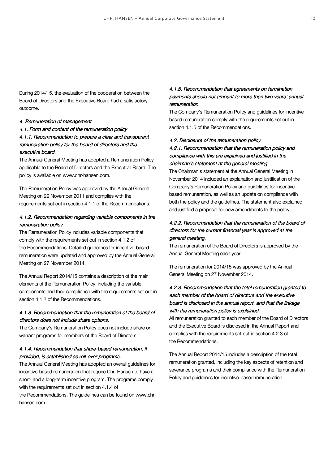During 2014/15, the evaluation of the cooperation between the Board of Directors and the Executive Board had a satisfactory outcome.

## 4. Remuneration of management

# 4.1. Form and content of the remuneration policy 4.1.1. Recommendation to prepare a clear and transparent remuneration policy for the board of directors and the executive board.

The Annual General Meeting has adopted a Remuneration Policy applicable to the Board of Directors and the Executive Board. The policy is available on www.chr-hansen.com.

The Remuneration Policy was approved by the Annual General Meeting on 29 November 2011 and complies with the requirements set out in section 4.1.1 of the Recommendations.

## 4.1.2. Recommendation regarding variable components in the remuneration policy.

The Remuneration Policy includes variable components that comply with the requirements set out in section 4.1.2 of the Recommendations. Detailed guidelines for incentive-based remuneration were updated and approved by the Annual General Meeting on 27 November 2014.

The Annual Report 2014/15 contains a description of the main elements of the Remuneration Policy, including the variable components and their compliance with the requirements set out in section 4.1.2 of the Recommendations.

# 4.1.3. Recommendation that the remuneration of the board of directors does not include share options.

The Company's Remuneration Policy does not include share or warrant programs for members of the Board of Directors.

# 4.1.4. Recommendation that share-based remuneration, if provided, is established as roll-over programs.

The Annual General Meeting has adopted an overall guidelines for incentive-based remuneration that require Chr. Hansen to have a short- and a long-term incentive program. The programs comply with the requirements set out in section 4.1.4 of

the Recommendations. The guidelines can be found on www.chr hansen.com.

# 4.1.5. Recommendation that agreements on termination payments should not amount to more than two years' annual remuneration.

The Company's Remuneration Policy and guidelines for incentive based remuneration comply with the requirements set out in section 4.1.5 of the Recommendations.

#### 4.2. Disclosure of the remuneration policy

# 4.2.1. Recommendation that the remuneration policy and compliance with this are explained and justified in the chairman's statement at the general meeting.

The Chairman's statement at the Annual General Meeting in November 2014 included an explanation and justification of the Company's Remuneration Policy and guidelines for incentive based remuneration, as well as an update on compliance with both the policy and the guidelines. The statement also explained and justified a proposal for new amendments to the policy.

# 4.2.2. Recommendation that the remuneration of the board of directors for the current financial year is approved at the general meeting.

The remuneration of the Board of Directors is approved by the Annual General Meeting each year.

The remuneration for 2014/15 was approved by the Annual General Meeting on 27 November 2014.

# 4.2.3. Recommendation that the total remuneration granted to each member of the board of directors and the executive board is disclosed in the annual report, and that the linkage with the remuneration policy is explained.

All remuneration granted to each member of the Board of Directors and the Executive Board is disclosed in the Annual Report and complies with the requirements set out in section 4.2.3 of the Recommendations.

The Annual Report 2014/15 includes a description of the total remuneration granted, including the key aspects of retention and severance programs and their compliance with the Remuneration Policy and guidelines for incentive-based remuneration.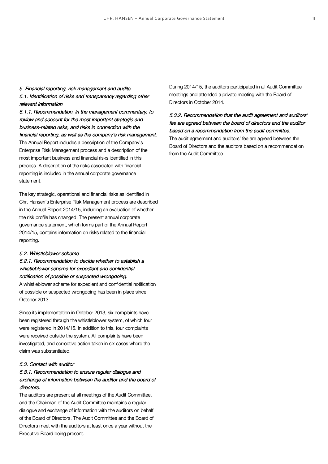# 5. Financial reporting, risk management and audits 5.1. Identification of risks and transparency regarding other relevant information

5.1.1. Recommendation, in the management commentary, to review and account for the most important strategic and business-related risks, and risks in connection with the financial reporting, as well as the company's risk management. The Annual Report includes a description of the Company's Enterprise Risk Management process and a description of the most important business and financial risks identified in this process. A description of the risks associated with financial reporting is included in the annual corporate governance statement.

The key strategic, operational and financial risks as identified in Chr. Hansen's Enterprise Risk Management process are described in the Annual Report 2014/15, including an evaluation of whether the risk profile has changed. The present annual corporate governance statement, which forms part of the Annual Report 2014/15, contains information on risks related to the financial reporting.

#### 5.2. Whistleblower scheme

# 5.2.1. Recommendation to decide whether to establish a whistleblower scheme for expedient and confidential notification of possible or suspected wrongdoing. A whistleblower scheme for expedient and confidential notification

of possible or suspected wrongdoing has been in place since October 2013.

Since its implementation in October 2013, six complaints have been registered through the whistleblower system, of which four were registered in 2014/15. In addition to this, four complaints were received outside the system. All complaints have been investigated, and corrective action taken in six cases where the claim was substantiated.

## 5.3. Contact with auditor

# 5.3.1. Recommendation to ensure regular dialogue and exchange of information between the auditor and the board of directors.

The auditors are present at all meetings of the Audit Committee, and the Chairman of the Audit Committee maintains a regular dialogue and exchange of information with the auditors on behalf of the Board of Directors. The Audit Committee and the Board of Directors meet with the auditors at least once a year without the Executive Board being present.

During 2014/15, the auditors participated in all Audit Committee meetings and attended a private meeting with the Board of Directors in October 2014.

5.3.2. Recommendation that the audit agreement and auditors' fee are agreed between the board of directors and the auditor based on a recommendation from the audit committee. The audit agreement and auditors' fee are agreed between the Board of Directors and the auditors based on a recommendation from the Audit Committee.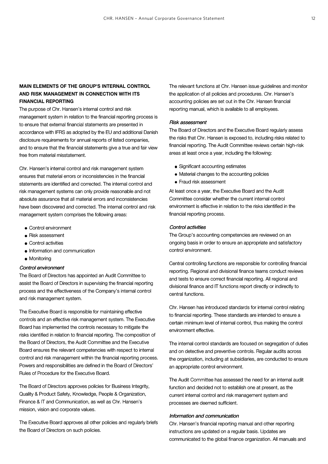# **MAIN ELEMENTS OF THE GROUP'S INTERNAL CONTROL AND RISK MANAGEMENT IN CONNECTION WITH ITS FINANCIAL REPORTING**

The purpose of Chr. Hansen's internal control and risk management system in relation to the financial reporting process is to ensure that external financial statements are presented in accordance with IFRS as adopted by the EU and additional Danish disclosure requirements for annual reports of listed companies, and to ensure that the financial statements give a true and fair view free from material misstatement.

Chr. Hansen's internal control and risk management system ensures that material errors or inconsistencies in the financial statements are identified and corrected. The internal control and risk management systems can only provide reasonable and not absolute assurance that all material errors and inconsistencies have been discovered and corrected. The internal control and risk management system comprises the following areas:

- Control environment
- Risk assessment
- Control activities
- Information and communication
- Monitoring

## Control environment

The Board of Directors has appointed an Audit Committee to assist the Board of Directors in supervising the financial reporting process and the effectiveness of the Company's internal control and risk management system.

The Executive Board is responsible for maintaining effective controls and an effective risk management system. The Executive Board has implemented the controls necessary to mitigate the risks identified in relation to financial reporting. The composition of the Board of Directors, the Audit Committee and the Executive Board ensures the relevant competencies with respect to internal control and risk management within the financial reporting process. Powers and responsibilities are defined in the Board of Directors' Rules of Procedure for the Executive Board.

The Board of Directors approves policies for Business Integrity, Quality & Product Safety, Knowledge, People & Organization, Finance & IT and Communication, as well as Chr. Hansen's mission, vision and corporate values.

The Executive Board approves all other policies and regularly briefs the Board of Directors on such policies.

The relevant functions at Chr. Hansen issue guidelines and monitor the application of all policies and procedures. Chr. Hansen's accounting policies are set out in the Chr. Hansen financial reporting manual, which is available to all employees.

#### Risk assessment

The Board of Directors and the Executive Board regularly assess the risks that Chr. Hansen is exposed to, including risks related to financial reporting. The Audit Committee reviews certain high-risk areas at least once a year, including the following:

- Significant accounting estimates
- Material changes to the accounting policies
- Fraud risk assessment

At least once a year, the Executive Board and the Audit Committee consider whether the current internal control environment is effective in relation to the risks identified in the financial reporting process.

### Control activities

The Group's accounting competencies are reviewed on an ongoing basis in order to ensure an appropriate and satisfactory control environment.

Central controlling functions are responsible for controlling financial reporting. Regional and divisional finance teams conduct reviews and tests to ensure correct financial reporting. All regional and divisional finance and IT functions report directly or indirectly to central functions.

Chr. Hansen has introduced standards for internal control relating to financial reporting. These standards are intended to ensure a certain minimum level of internal control, thus making the control environment effective.

The internal control standards are focused on segregation of duties and on detective and preventive controls. Regular audits across the organization, including at subsidiaries, are conducted to ensure an appropriate control environment.

The Audit Committee has assessed the need for an internal audit function and decided not to establish one at present, as the current internal control and risk management system and processes are deemed sufficient.

## Information and communication

Chr. Hansen's financial reporting manual and other reporting instructions are updated on a regular basis. Updates are communicated to the global finance organization. All manuals and